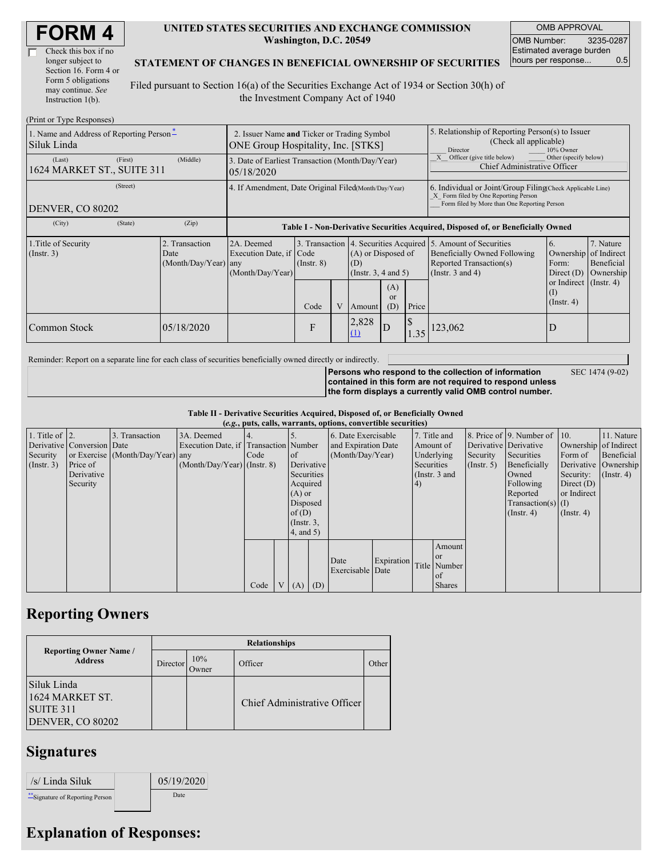| Check this box if no  |
|-----------------------|
| longer subject to     |
| Section 16. Form 4 or |
| Form 5 obligations    |
| may continue. See     |
| Instruction 1(b).     |

 $(Drint or Trma D)$ 

### **UNITED STATES SECURITIES AND EXCHANGE COMMISSION Washington, D.C. 20549**

OMB APPROVAL OMB Number: 3235-0287 Estimated average burden hours per response... 0.5

### **STATEMENT OF CHANGES IN BENEFICIAL OWNERSHIP OF SECURITIES**

Filed pursuant to Section 16(a) of the Securities Exchange Act of 1934 or Section 30(h) of the Investment Company Act of 1940

| $(1 \text{ min} \text{ of } 1 \text{ ypc} \text{ respectively})$<br>1. Name and Address of Reporting Person-<br>Siluk Linda | 2. Issuer Name and Ticker or Trading Symbol<br>ONE Group Hospitality, Inc. [STKS] |                                                  |                                                                |                 |  |                                                       | 5. Relationship of Reporting Person(s) to Issuer<br>(Check all applicable)<br>10% Owner<br>Director                                                |       |                                                                                                                                                   |                                                                 |                                      |  |
|-----------------------------------------------------------------------------------------------------------------------------|-----------------------------------------------------------------------------------|--------------------------------------------------|----------------------------------------------------------------|-----------------|--|-------------------------------------------------------|----------------------------------------------------------------------------------------------------------------------------------------------------|-------|---------------------------------------------------------------------------------------------------------------------------------------------------|-----------------------------------------------------------------|--------------------------------------|--|
| (Last)<br>1624 MARKET ST., SUITE 311                                                                                        | (First)                                                                           | (Middle)                                         | 3. Date of Earliest Transaction (Month/Day/Year)<br>05/18/2020 |                 |  |                                                       |                                                                                                                                                    |       | Other (specify below)<br>Officer (give title below)<br>Chief Administrative Officer                                                               |                                                                 |                                      |  |
| DENVER, CO 80202                                                                                                            | 4. If Amendment, Date Original Filed(Month/Day/Year)                              |                                                  |                                                                |                 |  |                                                       | 6. Individual or Joint/Group Filing(Check Applicable Line)<br>X Form filed by One Reporting Person<br>Form filed by More than One Reporting Person |       |                                                                                                                                                   |                                                                 |                                      |  |
| (City)                                                                                                                      | (State)                                                                           | (Zip)                                            |                                                                |                 |  |                                                       |                                                                                                                                                    |       | Table I - Non-Derivative Securities Acquired, Disposed of, or Beneficially Owned                                                                  |                                                                 |                                      |  |
| 1. Title of Security<br>$($ Instr. 3 $)$                                                                                    |                                                                                   | 2. Transaction<br>Date<br>$(Month/Day/Year)$ any | 2A. Deemed<br>Execution Date, if Code<br>(Month/Day/Year)      | $($ Instr. $8)$ |  | (A) or Disposed of<br>(D)<br>(Instr. $3, 4$ and $5$ ) |                                                                                                                                                    |       | 3. Transaction 4. Securities Acquired 5. Amount of Securities<br>Beneficially Owned Following<br>Reported Transaction(s)<br>(Instr. $3$ and $4$ ) | <sup>6.</sup><br>Ownership of Indirect<br>Form:<br>Direct $(D)$ | 7. Nature<br>Beneficial<br>Ownership |  |
|                                                                                                                             |                                                                                   |                                                  |                                                                | Code            |  | Amount                                                | (A)<br><sub>or</sub><br>(D)                                                                                                                        | Price |                                                                                                                                                   | or Indirect (Instr. 4)<br>(I)<br>$($ Instr. 4 $)$               |                                      |  |
| Common Stock                                                                                                                |                                                                                   | 05/18/2020                                       |                                                                | F               |  | 2,828<br>(1)                                          | D                                                                                                                                                  | 1.35  | 123,062                                                                                                                                           |                                                                 |                                      |  |

Reminder: Report on a separate line for each class of securities beneficially owned directly or indirectly.

**Persons who respond to the collection of information contained in this form are not required to respond unless the form displays a currently valid OMB control number.**

SEC 1474 (9-02)

#### **Table II - Derivative Securities Acquired, Disposed of, or Beneficially Owned**

| (e.g., puts, calls, warrants, options, convertible securities) |                            |                                  |                                       |      |  |                  |                     |                          |            |    |                       |              |                              |                  |                  |
|----------------------------------------------------------------|----------------------------|----------------------------------|---------------------------------------|------|--|------------------|---------------------|--------------------------|------------|----|-----------------------|--------------|------------------------------|------------------|------------------|
| 1. Title of $\vert$ 2.                                         |                            | 3. Transaction                   | 3A. Deemed                            |      |  |                  |                     | 6. Date Exercisable      |            |    | 7. Title and          |              | 8. Price of 9. Number of 10. |                  | 11. Nature       |
|                                                                | Derivative Conversion Date |                                  | Execution Date, if Transaction Number |      |  |                  | and Expiration Date |                          | Amount of  |    | Derivative Derivative |              | Ownership of Indirect        |                  |                  |
| Security                                                       |                            | or Exercise (Month/Day/Year) any |                                       | Code |  | of               | (Month/Day/Year)    |                          | Underlying |    | Security              | Securities   | Form of                      | Beneficial       |                  |
| $($ Instr. 3 $)$                                               | Price of                   |                                  | $(Month/Day/Year)$ (Instr. 8)         |      |  | Derivative       |                     |                          | Securities |    | $($ Instr. 5)         | Beneficially | Derivative Ownership         |                  |                  |
|                                                                | Derivative                 |                                  |                                       |      |  | Securities       |                     |                          |            |    | (Instr. 3 and         |              | Owned                        | Security:        | $($ Instr. 4 $)$ |
|                                                                | Security                   |                                  |                                       |      |  | Acquired         |                     |                          |            | 4) |                       |              | Following                    | Direct $(D)$     |                  |
|                                                                |                            |                                  |                                       |      |  | $(A)$ or         |                     |                          |            |    |                       |              | Reported                     | or Indirect      |                  |
|                                                                |                            |                                  |                                       |      |  | Disposed         |                     |                          |            |    |                       |              | $Transaction(s)$ (I)         |                  |                  |
|                                                                |                            |                                  |                                       |      |  | of(D)            |                     |                          |            |    |                       |              | $($ Instr. 4)                | $($ Instr. 4 $)$ |                  |
|                                                                |                            |                                  |                                       |      |  | $($ Instr. $3$ , |                     |                          |            |    |                       |              |                              |                  |                  |
|                                                                |                            |                                  |                                       |      |  | $4$ , and $5$ )  |                     |                          |            |    |                       |              |                              |                  |                  |
|                                                                |                            |                                  |                                       |      |  |                  |                     |                          |            |    | Amount                |              |                              |                  |                  |
|                                                                |                            |                                  |                                       |      |  |                  |                     |                          | Expiration |    | <sub>or</sub>         |              |                              |                  |                  |
|                                                                |                            |                                  |                                       |      |  |                  |                     | Date<br>Exercisable Date |            |    | Title Number          |              |                              |                  |                  |
|                                                                |                            |                                  |                                       |      |  |                  |                     |                          |            |    | of                    |              |                              |                  |                  |
|                                                                |                            |                                  |                                       | Code |  | V(A)             | (D)                 |                          |            |    | <b>Shares</b>         |              |                              |                  |                  |

### **Reporting Owners**

|                                                                 | <b>Relationships</b> |              |                              |       |  |  |  |  |  |  |
|-----------------------------------------------------------------|----------------------|--------------|------------------------------|-------|--|--|--|--|--|--|
| <b>Reporting Owner Name /</b><br><b>Address</b>                 | Director             | 10%<br>Owner | Officer                      | Other |  |  |  |  |  |  |
| Siluk Linda<br>1624 MARKET ST.<br>SUITE 311<br>DENVER, CO 80202 |                      |              | Chief Administrative Officer |       |  |  |  |  |  |  |

## **Signatures**

| /s/ Linda Siluk                  | 05/19/2020 |
|----------------------------------|------------|
| ** Signature of Reporting Person | Date       |

# **Explanation of Responses:**